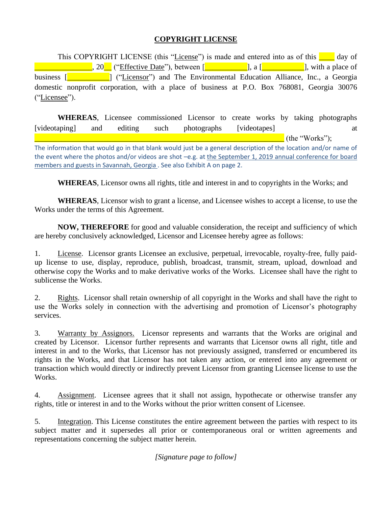## **COPYRIGHT LICENSE**

This COPYRIGHT LICENSE (this "License") is made and entered into as of this <u>see</u> day of  $\blacksquare$  . 20. ("Effective Date"), between  $\blacksquare$  . a  $\blacksquare$ , a  $\blacksquare$ , with a place of business [**Number 1994**] ("Licensor") and The Environmental Education Alliance, Inc., a Georgia domestic nonprofit corporation, with a place of business at P.O. Box 768081, Georgia 30076 ("Licensee").

**WHEREAS**, Licensee commissioned Licensor to create works by taking photographs [videotaping] and editing such photographs [videotapes] at  $\blacksquare$  (the "Works");

The information that would go in that blank would just be a general description of the location and/or name of the event where the photos and/or videos are shot –e.g. at the September 1, 2019 annual conference for board members and guests in Savannah, Georgia . See also Exhibit A on page 2.

**WHEREAS**, Licensor owns all rights, title and interest in and to copyrights in the Works; and

**WHEREAS**, Licensor wish to grant a license, and Licensee wishes to accept a license, to use the Works under the terms of this Agreement.

**NOW, THEREFORE** for good and valuable consideration, the receipt and sufficiency of which are hereby conclusively acknowledged, Licensor and Licensee hereby agree as follows:

1. License. Licensor grants Licensee an exclusive, perpetual, irrevocable, royalty-free, fully paidup license to use, display, reproduce, publish, broadcast, transmit, stream, upload, download and otherwise copy the Works and to make derivative works of the Works. Licensee shall have the right to sublicense the Works.

2. Rights. Licensor shall retain ownership of all copyright in the Works and shall have the right to use the Works solely in connection with the advertising and promotion of Licensor's photography services.

3. Warranty by Assignors. Licensor represents and warrants that the Works are original and created by Licensor. Licensor further represents and warrants that Licensor owns all right, title and interest in and to the Works, that Licensor has not previously assigned, transferred or encumbered its rights in the Works, and that Licensor has not taken any action, or entered into any agreement or transaction which would directly or indirectly prevent Licensor from granting Licensee license to use the Works.

4. Assignment. Licensee agrees that it shall not assign, hypothecate or otherwise transfer any rights, title or interest in and to the Works without the prior written consent of Licensee.

5. Integration. This License constitutes the entire agreement between the parties with respect to its subject matter and it supersedes all prior or contemporaneous oral or written agreements and representations concerning the subject matter herein.

*[Signature page to follow]*